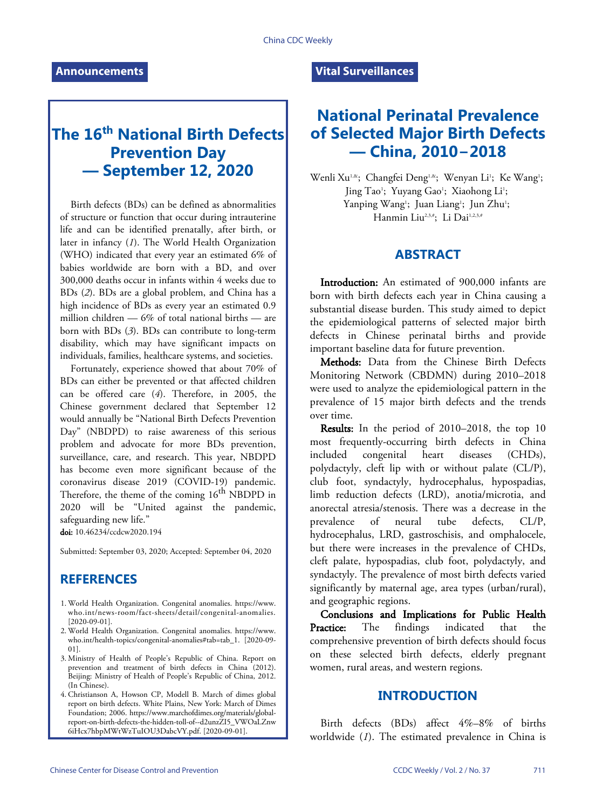# **The 16th National Birth Defects Prevention Day — September 12, 2020**

Birth defects (BDs) can be defined as abnormalities of structure or function that occur during intrauterine life and can be identified prenatally, after birth, or later in infancy (*[1](#page-6-0)*). The World Health Organization (WHO) indicated that every year an estimated 6% of babies worldwide are born with a BD, and over 300,000 deaths occur in infants within 4 weeks due to BDs (*[2](#page-6-1)*). BDs are a global problem, and China has a high incidence of BDs as every year an estimated 0.9 million children — 6% of total national births — are born with BDs (*[3](#page-6-2)*). BDs can contribute to long-term disability, which may have significant impacts on individuals, families, healthcare systems, and societies.

Fortunately, experience showed that about 70% of BDs can either be prevented or that affected children can be offered care (*[4](#page-6-3)*). Therefore, in 2005, the Chinese government declared that September 12 would annually be "National Birth Defects Prevention Day" (NBDPD) to raise awareness of this serious problem and advocate for more BDs prevention, surveillance, care, and research. This year, NBDPD has become even more significant because of the coronavirus disease 2019 (COVID-19) pandemic. Therefore, the theme of the coming 16<sup>th</sup> NBDPD in 2020 will be "United against the pandemic, safeguarding new life."

doi: [10.46234/ccdcw2020.194](https://doi.org/10.46234/ccdcw2020.194)

Submitted: September 03, 2020; Accepted: September 04, 2020

## **REFERENCES**

- World Health Organization. Congenital anomalies. [https://www.](https://www.who.int/news-room/fact-sheets/detail/congenital-anomalies) 1. [who.int/news-room/fact-sheets/detail/congenital-anomalies](https://www.who.int/news-room/fact-sheets/detail/congenital-anomalies). [2020-09-01].
- World Health Organization. Congenital anomalies. [https://www.](https://www.who.int/health-topics/congenital-anomalies#tab=tab_1) 2. [who.int/health-topics/congenital-anomalies#tab=tab\\_1.](https://www.who.int/health-topics/congenital-anomalies#tab=tab_1) [2020-09- 01].
- Ministry of Health of People's Republic of China. Report on 3. prevention and treatment of birth defects in China (2012). Beijing: Ministry of Health of People's Republic of China, 2012. (In Chinese).
- Christianson A, Howson CP, Modell B. March of dimes global 4. report on birth defects. White Plains, New York: March of Dimes Foundation; 2006. https://www.marchofdimes.org/materials/global[report-on-birth-defects-the-hidden-toll-of--d2unzZI5\\_VWOaLZnw](https://www.marchofdimes.org/materials/global-report-on-birth-defects-the-hidden-toll-of--d2unzZI5_VWOaLZnw6iHcx7hbpMWtWzTuIOU3DabcVY.pdf) [6iHcx7hbpMWtWzTuIOU3DabcVY.pdf](https://www.marchofdimes.org/materials/global-report-on-birth-defects-the-hidden-toll-of--d2unzZI5_VWOaLZnw6iHcx7hbpMWtWzTuIOU3DabcVY.pdf). [2020-09-01].

#### **Vital Surveillances**

## **National Perinatal Prevalence of Selected Major Birth Defects — China, 2010−2018**

Wenli Xu<sup>1,&</sup>; Changfei Deng<sup>1,&</sup>; Wenyan Li<sup>1</sup>; Ke Wang<sup>1</sup>; Jing Tao<sup>1</sup>; Yuyang Gao<sup>1</sup>; Xiaohong Li<sup>1</sup>; Yanping Wang<sup>1</sup>; Juan Liang<sup>1</sup>; Jun Zhu<sup>1</sup>; Hanmin Liu<sup>2,3,#</sup>; Li Dai<sup>1,2,3,#</sup>

#### **ABSTRACT**

Introduction: An estimated of 900,000 infants are born with birth defects each year in China causing a substantial disease burden. This study aimed to depict the epidemiological patterns of selected major birth defects in Chinese perinatal births and provide important baseline data for future prevention.

Methods: Data from the Chinese Birth Defects Monitoring Network (CBDMN) during 2010–2018 were used to analyze the epidemiological pattern in the prevalence of 15 major birth defects and the trends over time.

Results: In the period of 2010–2018, the top 10 most frequently-occurring birth defects in China included congenital heart diseases (CHDs), polydactyly, cleft lip with or without palate (CL/P), club foot, syndactyly, hydrocephalus, hypospadias, limb reduction defects (LRD), anotia/microtia, and anorectal atresia/stenosis. There was a decrease in the prevalence of neural tube defects, CL/P, hydrocephalus, LRD, gastroschisis, and omphalocele, but there were increases in the prevalence of CHDs, cleft palate, hypospadias, club foot, polydactyly, and syndactyly. The prevalence of most birth defects varied significantly by maternal age, area types (urban/rural), and geographic regions.

Conclusions and Implications for Public Health Practice: The findings indicated that the comprehensive prevention of birth defects should focus on these selected birth defects, elderly pregnant women, rural areas, and western regions.

## **INTRODUCTION**

Birth de[fe](#page-6-0)cts (BDs) affect 4%–8% of births worldwide (*[1](#page-6-0)*). The estimated prevalence in China is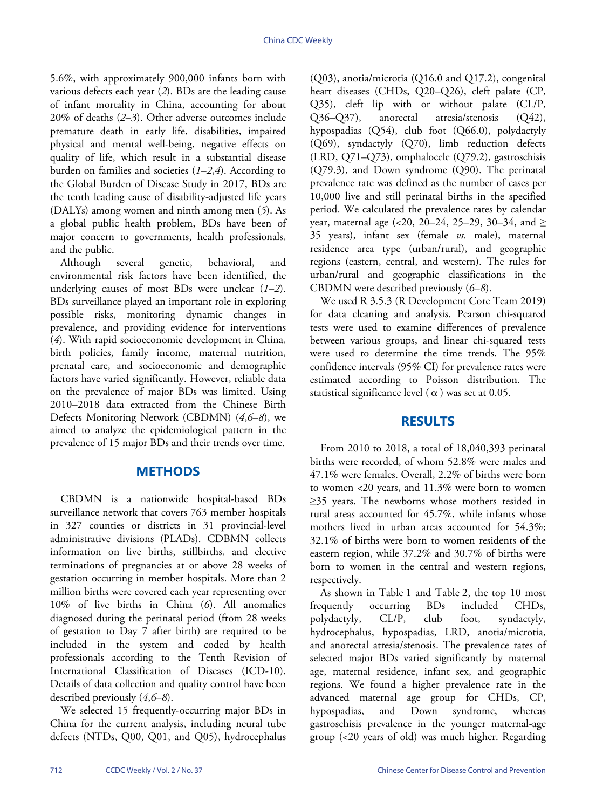5.6%, with approximately 900,000 infants born with various defects each year (*[2](#page-6-1)*). BDs are the leading cause of infant mortality in China, accounting for about 20% of deaths (*[2](#page-6-1)*–*[3](#page-6-2)*). Other adverse outcomes include premature death in early life, disabilities, impaired physical and mental well-being, negative effects on quality of life, which result in a substantial disease burden on families and societies (*[1](#page-6-0)*–*[2](#page-6-1)*,*[4](#page-6-3)*). According to the Global Burden of Disease Study in 2017, BDs are the tenth leading cause of disability-adjusted life years (DALYs) among women and ninth among men (*[5](#page-6-4)*). As a global public health problem, BDs have been of major concern to governments, health professionals, and the public.

Although several genetic, behavioral, and environmental risk factors have been identified, the underlying causes of most BDs were unclear (*[1](#page-6-0)*–*[2](#page-6-1)*). BDs surveillance played an important role in exploring possible risks, monitoring dynamic changes in prevalence, and providing evidence for interventions (*[4](#page-6-3)*). With rapid socioeconomic development in China, birth policies, family income, maternal nutrition, prenatal care, and socioeconomic and demographic factors have varied significantly. However, reliable data on the prevalence of major BDs was limited. Using 2010–2018 data extracted from the Chinese Birth Defects Monitoring Network (CBDMN) (*[4](#page-6-3)*,*[6](#page-6-5)*–*[8](#page-6-6)*), we aimed to analyze the epidemiological pattern in the prevalence of 15 major BDs and their trends over time.

## **METHODS**

CBDMN is a nationwide hospital-based BDs surveillance network that covers 763 member hospitals in 327 counties or districts in 31 provincial-level administrative divisions (PLADs). CDBMN collects information on live births, stillbirths, and elective terminations of pregnancies at or above 28 weeks of gestation occurring in member hospitals. More than 2 million births were covered each year representing over 10% of live births in China (*[6](#page-6-5)*). All anomalies diagnosed during the perinatal period (from 28 weeks of gestation to Day 7 after birth) are required to be included in the system and coded by health professionals according to the Tenth Revision of International Classification of Diseases (ICD-10). Details of data collec[tio](#page-6-3)[n](#page-6-5) [an](#page-6-6)d quality control have been described previously (*[4](#page-6-3)*,*[6](#page-6-5)*–*[8](#page-6-6)*).

We selected 15 frequently-occurring major BDs in China for the current analysis, including neural tube defects (NTDs, Q00, Q01, and Q05), hydrocephalus (Q03), anotia/microtia (Q16.0 and Q17.2), congenital heart diseases (CHDs, Q20–Q26), cleft palate (CP, Q35), cleft lip with or without palate (CL/P, Q36–Q37), anorectal atresia/stenosis (Q42), hypospadias (Q54), club foot (Q66.0), polydactyly (Q69), syndactyly (Q70), limb reduction defects (LRD, Q71–Q73), omphalocele (Q79.2), gastroschisis (Q79.3), and Down syndrome (Q90). The perinatal prevalence rate was defined as the number of cases per 10,000 live and still perinatal births in the specified period. We calculated the prevalence rates by calendar year, maternal age (<20, 20–24, 25–29, 30–34, and  $\ge$ 35 years), infant sex (female *vs.* male), maternal residence area type (urban/rural), and geographic regions (eastern, central, and western). The rules for urban/rural and geographic classifications in the CBDMN were described previously (*[6](#page-6-5)*–*[8](#page-6-6)*).

We used R 3.5.3 (R Development Core Team 2019) for data cleaning and analysis. Pearson chi-squared tests were used to examine differences of prevalence between various groups, and linear chi-squared tests were used to determine the time trends. The 95% confidence intervals (95% CI) for prevalence rates were estimated according to Poisson distribution. The statistical significance level ( $\alpha$ ) was set at 0.05.

## **RESULTS**

From 2010 to 2018, a total of 18,040,393 perinatal births were recorded, of whom 52.8% were males and 47.1% were females. Overall, 2.2% of births were born to women <20 years, and 11.3% were born to women ≥35 years. The newborns whose mothers resided in rural areas accounted for 45.7%, while infants whose mothers lived in urban areas accounted for 54.3%; 32.1% of births were born to women residents of the eastern region, while 37.2% and 30.7% of births were born to women in the central and western regions, respectively.

As shown in Table 1 and Table 2, the top 10 most frequently occurring BDs included CHDs, polydactyly, CL/P, club foot, syndactyly, hydrocephalus, hypospadias, LRD, anotia/microtia, and anorectal atresia/stenosis. The prevalence rates of selected major BDs varied significantly by maternal age, maternal residence, infant sex, and geographic regions. We found a higher prevalence rate in the advanced maternal age group for CHDs, CP, hypospadias, and Down syndrome, whereas gastroschisis prevalence in the younger maternal-age group (<20 years of old) was much higher. Regarding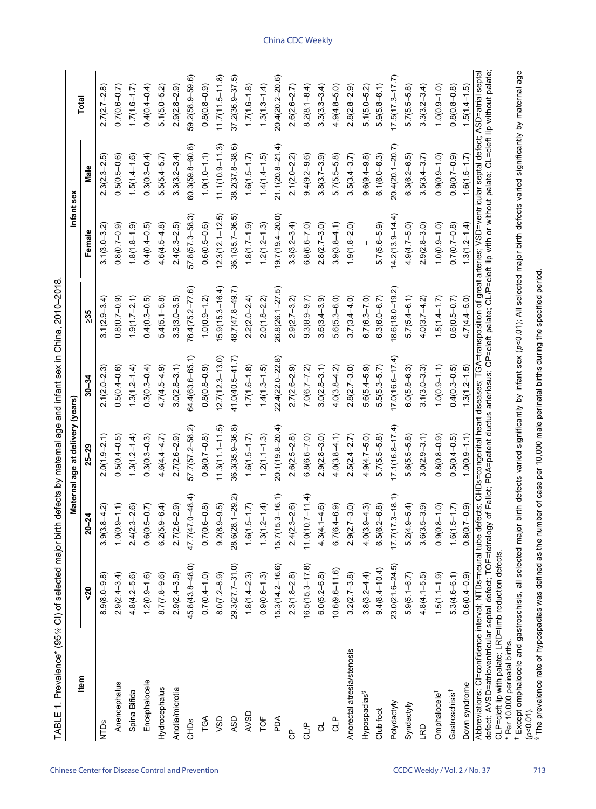| Item                                                                                                                                                                                                                                                                                                                                                                                    |                     |                     | Maternal age at delivery (years) |                     |                    | Infant sex          |                     | Total               |
|-----------------------------------------------------------------------------------------------------------------------------------------------------------------------------------------------------------------------------------------------------------------------------------------------------------------------------------------------------------------------------------------|---------------------|---------------------|----------------------------------|---------------------|--------------------|---------------------|---------------------|---------------------|
|                                                                                                                                                                                                                                                                                                                                                                                         | $\sqrt{2}$          | $20 - 24$           | $25 - 29$                        | $30 - 34$           | $\geq 35$          | Female              | Male                |                     |
| NTDs                                                                                                                                                                                                                                                                                                                                                                                    | $8.9(8.0 - 9.8)$    | $3.9(3.8 - 4.2)$    | $2.0(1.9 - 2.1)$                 | $2.1(2.0 - 2.3)$    | $3.1(2.9 - 3.4)$   | $3.1(3.0 - 3.2)$    | $2.3(2.3 - 2.5)$    | $2.7(2.7-2.8)$      |
| Anencephalus                                                                                                                                                                                                                                                                                                                                                                            | $2.9(2.4 - 3.4)$    | $1.0(0.9 - 1.1)$    | $0.5(0.4-0.5)$                   | $0.5(0.4 - 0.6)$    | $0.8(0.7-0.9)$     | $0.8(0.7-0.9)$      | $0.5(0.5-0.6)$      | $0.7(0.6-0.7)$      |
| Spina Bifida                                                                                                                                                                                                                                                                                                                                                                            | $4.8(4.2 - 5.6)$    | $2.4(2.3 - 2.6)$    | $1.3(1.2 - 1.4)$                 | $1.3(1.2 - 1.4)$    | $1.9(1.7 - 2.1)$   | $1.8(1.8 - 1.9)$    | $1.5(1.4 - 1.6)$    | $1.7(1.6 - 1.7)$    |
| Encephalocele                                                                                                                                                                                                                                                                                                                                                                           | $1.2(0.9 - 1.6)$    | $0.6(0.5-0.7)$      | $0.3(0.3 - 0.3)$                 | $0.3(0.3 - 0.4)$    | $0.4(0.3 - 0.5)$   | $0.4(0.4-0.5)$      | $0.3(0.3 - 0.4)$    | $0.4(0.4-0.4)$      |
| Hydrocephalus                                                                                                                                                                                                                                                                                                                                                                           | $8.7(7.8-9.6)$      | $6.2(5.9 - 6.4)$    | $4.6(4.4 - 4.7)$                 | $4.7(4.5 - 4.9)$    | $5.4(5.1 - 5.8)$   | $4.6(4.5 - 4.8)$    | $5.5(5.4-5.7)$      | $5.1(5.0 - 5.2)$    |
| Anotia/microtia                                                                                                                                                                                                                                                                                                                                                                         | $2.9(2.4 - 3.5)$    | $2.7(2.6 - 2.9)$    | $2.7(2.6 - 2.9)$                 | $3.0(2.8 - 3.1)$    | $3.3(3.0-3.5)$     | $2.4(2.3 - 2.5)$    | $3.3(3.2 - 3.4)$    | $2.9(2.8-2.9)$      |
| CHDS                                                                                                                                                                                                                                                                                                                                                                                    | 45.8(43.8-48.0)     | 47.7(47.0-48.4)     | 57.7(57.2-58.2)                  | 64.4(63.6-65.1)     | 76.4(75.2-77.6)    | 57.8(57.3-58.3)     | $60.3(59.8 - 60.8)$ | 59.2(58.9-59.6)     |
| TGA                                                                                                                                                                                                                                                                                                                                                                                     | $0.7(0.4 - 1.0)$    | $0.7(0.6 - 0.8)$    | $0.8(0.7 - 0.8)$                 | $0.8(0.8-0.9)$      | $1.0(0.9 - 1.2)$   | $0.6(0.5-0.6)$      | $1.0(1.0 - 1.1)$    | $0.8(0.8-0.9)$      |
| <b>USD</b>                                                                                                                                                                                                                                                                                                                                                                              | $8.0(7.2 - 8.9)$    | $9.2(8.9 - 9.5)$    | $11.3(11.1 - 11.5)$              | $12.7(12.3 - 13.0)$ | $5.9(15.3 - 16.4)$ | $12.3(12.1 - 12.5)$ | $11.1(10.9 - 11.3)$ | $11.7(11.5 - 11.8)$ |
| ASD                                                                                                                                                                                                                                                                                                                                                                                     | 29.3(27.7-31.0)     | 28.6(28.1-29.2)     | 36.3(35.9-36.8)                  | 41.0(40.5-41.7)     | 48.7(47.8-49.7)    | 36.1(35.7-36.5)     | 38.2(37.8-38.6)     | 37.2(36.9-37.5)     |
| AVSD                                                                                                                                                                                                                                                                                                                                                                                    | $1.8(1.4 - 2.3)$    | $1.6(1.5 - 1.7)$    | $1.6(1.5 - 1.7)$                 | $1.7(1.6 - 1.8)$    | $2.2(2.0 - 2.4)$   | $1.8(1.7 - 1.9)$    | $1.6(1.5 - 1.7)$    | $1.7(1.6 - 1.8)$    |
| TOF                                                                                                                                                                                                                                                                                                                                                                                     | $0.9(0.6 - 1.3)$    | $1.3(1.2 - 1.4)$    | $1.2(1.1 - 1.3)$                 | $1.4(1.3 - 1.5)$    | $2.0(1.8 - 2.2)$   | $1.2(1.2 - 1.3)$    | $1.4(1.4-1.5)$      | $1.3(1.3 - 1.4)$    |
| PDA                                                                                                                                                                                                                                                                                                                                                                                     | $15.3(14.2 - 16.6)$ | $15.7(15.3 - 16.1)$ | 20.1(19.8-20.4)                  | $22.4(22.0 - 22.8)$ | 26.8(26.1-27.5)    | 19.7(19.4-20.0)     | $21.1(20.8 - 21.4)$ | 20.4(20.2-20.6)     |
| දි                                                                                                                                                                                                                                                                                                                                                                                      | $2.3(1.8 - 2.8)$    | $2.4(2.3 - 2.6)$    | $2.6(2.5 - 2.8)$                 | $2.7(2.6 - 2.9)$    | $2.9(2.7 - 3.2)$   | $3.3(3.2 - 3.4)$    | $2.1(2.0 - 2.2)$    | $2.6(2.6 - 2.7)$    |
| CLIP                                                                                                                                                                                                                                                                                                                                                                                    | $16.5(15.3 - 17.8)$ | $11.0(10.7 - 11.4)$ | $6.8(6.6 - 7.0)$                 | $7.0(6.7 - 7.2)$    | $9.3(8.9-9.7)$     | $6.8(6.6 - 7.0)$    | $9.4(9.2 - 9.6)$    | $8.2(8.1 - 8.4)$    |
| $\vec{c}$                                                                                                                                                                                                                                                                                                                                                                               | $6.0(5.2 - 6.8)$    | $4.3(4.1 - 4.6)$    | $2.9(2.8 - 3.0)$                 | $3.0(2.8 - 3.1)$    | $3.6(3.4 - 3.9)$   | $2.8(2.7-3.0)$      | $3.8(3.7 - 3.9)$    | $3.3(3.3-3.4)$      |
| 오<br>건                                                                                                                                                                                                                                                                                                                                                                                  | $10.6(9.6 - 11.6)$  | $6.7(6.4 - 6.9)$    | $4.0(3.8 - 4.1)$                 | $4.0(3.8 - 4.2)$    | $5.6(5.3 - 6.0)$   | $3.9(3.8 - 4.1)$    | $5.7(5.5-5.8)$      | $4.9(4.8 - 5.0)$    |
| Anorectal atresia/stenosis                                                                                                                                                                                                                                                                                                                                                              | $3.2(2.7 - 3.8)$    | $2.9(2.7 - 3.0)$    | $2.5(2.4 - 2.7)$                 | $2.8(2.7 - 3.0)$    | $3.7(3.4 - 4.0)$   | $1.9(1.8 - 2.0)$    | $3.5(3.4 - 3.7)$    | $2.8(2.8-2.9)$      |
| Hypospadias <sup>§</sup>                                                                                                                                                                                                                                                                                                                                                                | $3.8(3.2 - 4.4)$    | $4.0(3.9 - 4.3)$    | $4.9(4.7 - 5.0)$                 | $5.6(5.4 - 5.9)$    | $6.7(6.3 - 7.0)$   |                     | $9.6(9-9.8)$        | $5.1(5.0 - 5.2)$    |
| Club foot                                                                                                                                                                                                                                                                                                                                                                               | $9.4(8.4 - 10.4)$   | $6.5(6.2 - 6.8)$    | $5.7(5.5-5.8)$                   | $5.5(5.3 - 5.7)$    | $6.3(6.0 - 6.7)$   | $5.7(5.6-5.9)$      | $6.1(6.0 - 6.3)$    | $5.9(5.8 - 6.1)$    |
| Polydactyly                                                                                                                                                                                                                                                                                                                                                                             | 23.0(21.6-24.5)     | $17.7(17.3 - 18.1)$ | $17.1(16.8 - 17.4)$              | $17.0(16.6 - 17.4)$ | $8.6(18.0 - 19.2)$ | $14.2(13.9 - 14.4)$ | 20.4(20.1-20.7)     | $17.5(17.3 - 17.7)$ |
| Syndactyly                                                                                                                                                                                                                                                                                                                                                                              | $5.9(5.1 - 6.7)$    | $5.2(4.9 - 5.4)$    | $5.6(5.5-5.8)$                   | $6.0(5.8 - 6.3)$    | $5.7(5.4 - 6.1)$   | $4.9(4.7 - 5.0)$    | $6.3(6.2 - 6.5)$    | $5.7(5.5-5.8)$      |
| RD                                                                                                                                                                                                                                                                                                                                                                                      | $4.8(4.1 - 5.5)$    | $3.6(3.5 - 3.9)$    | $3.0(2.9 - 3.1)$                 | $3.1(3.0 - 3.3)$    | $4.0(3.7 - 4.2)$   | $2.9(2.8 - 3.0)$    | $3.5(3.4 - 3.7)$    | $3.3(3.2 - 3.4)$    |
| Omphalocele <sup>†</sup>                                                                                                                                                                                                                                                                                                                                                                | $1.5(1.1 - 1.9)$    | $0.9(0.8 - 1.0)$    | $0.8(0.8-0.9)$                   | $1.0(0.9 - 1.1)$    | $1.5(1.4 - 1.7)$   | $1.0(0.9-1.0)$      | $0.9(0.9-1.0)$      | $(0.1 - 0.0001)$    |
| Gastroschisis <sup>†</sup>                                                                                                                                                                                                                                                                                                                                                              | $5.3(4.6 - 6.1)$    | $1.6(1.5 - 1.7)$    | $0.5(0.4-0.5)$                   | $0.4(0.3 - 0.5)$    | $0.6(0.5-0.7)$     | $0.7(0.7-0.8)$      | $0.8(0.7-0.9)$      | $0.8(0.8-0.8)$      |
| Down syndrome                                                                                                                                                                                                                                                                                                                                                                           | $0.6(0.4 - 0.9)$    | $0.8(0.7-0.9)$      | $1.0(0.9 - 1.1)$                 | $1.3(1.2 - 1.5)$    | $4.7(4.4 - 5.0)$   | $1.3(1.2 - 1.4)$    | $1.6(1.5 - 1.7)$    | $1.5(1.4 - 1.5)$    |
| defect; AVSD=atrioventricular septal defect; TOF=tetralogy of Fallot; PDA=patent ductus arteriosus; CP=cleft palate; CL/P=cleft lip with or without palate; CL=cleft lip without palate;<br>Abbreviations: Cl=confidence interval; NTDs=neural tube defects; CHDs=congenital heart diseases; TGA=transposition of great arteries; VSD=ventricular septal defect; ASD=atrial septal<br>ţ |                     |                     |                                  |                     |                    |                     |                     |                     |

TABLE 1. Prevalence\* (95% CI) of selected major birth defects by maternal age and infant sex in China, 2010-2018. TABLE 1. Prevalence\* (95% CI) of selected major birth defects by maternal age and infant sex in China, 2010–2018.

CLP=cleft lip with palate; LRD=limb reduction defects. \* Per 10,000 perinatal births. CLP=cleft lip with palate; LRD=limb reduction defects.<br>\* Per 10,000 perinatal births.<br>† Except omphalocele and gastroschisis, all selected major birth defects varied significantly by infant sex (p<0.01); All selected majo

Except omphalocele and gastroschisis, all selected major birth defects varied significantly by infant sex (*p*<0.01); All selected major birth defects varied significantly by maternal age

(*p*<0.01). §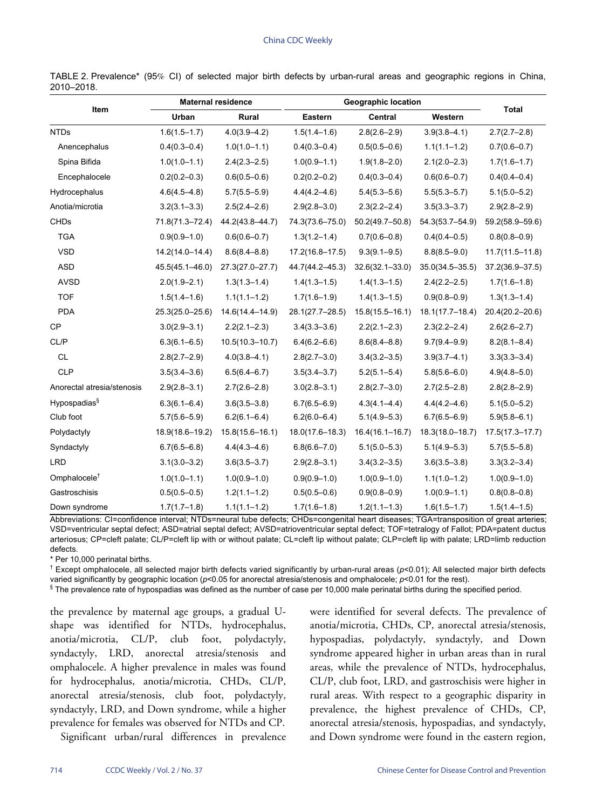| Item                       | <b>Maternal residence</b> |                     |                     | <b>Geographic location</b> |                     | <b>Total</b>        |
|----------------------------|---------------------------|---------------------|---------------------|----------------------------|---------------------|---------------------|
|                            | Urban                     | Rural               | Eastern             | Central                    | Western             |                     |
| <b>NTDs</b>                | $1.6(1.5 - 1.7)$          | $4.0(3.9 - 4.2)$    | $1.5(1.4 - 1.6)$    | $2.8(2.6 - 2.9)$           | $3.9(3.8 - 4.1)$    | $2.7(2.7-2.8)$      |
| Anencephalus               | $0.4(0.3 - 0.4)$          | $1.0(1.0 - 1.1)$    | $0.4(0.3 - 0.4)$    | $0.5(0.5 - 0.6)$           | $1.1(1.1 - 1.2)$    | $0.7(0.6 - 0.7)$    |
| Spina Bifida               | $1.0(1.0 - 1.1)$          | $2.4(2.3 - 2.5)$    | $1.0(0.9 - 1.1)$    | $1.9(1.8 - 2.0)$           | $2.1(2.0 - 2.3)$    | $1.7(1.6 - 1.7)$    |
| Encephalocele              | $0.2(0.2 - 0.3)$          | $0.6(0.5 - 0.6)$    | $0.2(0.2 - 0.2)$    | $0.4(0.3 - 0.4)$           | $0.6(0.6 - 0.7)$    | $0.4(0.4 - 0.4)$    |
| Hydrocephalus              | $4.6(4.5 - 4.8)$          | $5.7(5.5 - 5.9)$    | $4.4(4.2 - 4.6)$    | $5.4(5.3 - 5.6)$           | $5.5(5.3 - 5.7)$    | $5.1(5.0 - 5.2)$    |
| Anotia/microtia            | $3.2(3.1 - 3.3)$          | $2.5(2.4 - 2.6)$    | $2.9(2.8 - 3.0)$    | $2.3(2.2 - 2.4)$           | $3.5(3.3 - 3.7)$    | $2.9(2.8 - 2.9)$    |
| <b>CHDs</b>                | 71.8(71.3-72.4)           | 44.2(43.8-44.7)     | 74.3(73.6-75.0)     | $50.2(49.7 - 50.8)$        | 54.3(53.7-54.9)     | 59.2(58.9-59.6)     |
| <b>TGA</b>                 | $0.9(0.9 - 1.0)$          | $0.6(0.6 - 0.7)$    | $1.3(1.2 - 1.4)$    | $0.7(0.6 - 0.8)$           | $0.4(0.4 - 0.5)$    | $0.8(0.8 - 0.9)$    |
| <b>VSD</b>                 | $14.2(14.0 - 14.4)$       | $8.6(8.4 - 8.8)$    | $17.2(16.8 - 17.5)$ | $9.3(9.1 - 9.5)$           | $8.8(8.5 - 9.0)$    | $11.7(11.5 - 11.8)$ |
| <b>ASD</b>                 | 45.5(45.1-46.0)           | $27.3(27.0 - 27.7)$ | 44.7(44.2-45.3)     | $32.6(32.1 - 33.0)$        | $35.0(34.5 - 35.5)$ | $37.2(36.9 - 37.5)$ |
| <b>AVSD</b>                | $2.0(1.9 - 2.1)$          | $1.3(1.3 - 1.4)$    | $1.4(1.3 - 1.5)$    | $1.4(1.3 - 1.5)$           | $2.4(2.2 - 2.5)$    | $1.7(1.6 - 1.8)$    |
| <b>TOF</b>                 | $1.5(1.4 - 1.6)$          | $1.1(1.1 - 1.2)$    | $1.7(1.6 - 1.9)$    | $1.4(1.3 - 1.5)$           | $0.9(0.8 - 0.9)$    | $1.3(1.3 - 1.4)$    |
| <b>PDA</b>                 | $25.3(25.0 - 25.6)$       | 14.6(14.4-14.9)     | 28.1(27.7-28.5)     | $15.8(15.5 - 16.1)$        | $18.1(17.7 - 18.4)$ | 20.4(20.2-20.6)     |
| <b>CP</b>                  | $3.0(2.9 - 3.1)$          | $2.2(2.1 - 2.3)$    | $3.4(3.3 - 3.6)$    | $2.2(2.1 - 2.3)$           | $2.3(2.2 - 2.4)$    | $2.6(2.6 - 2.7)$    |
| CL/P                       | $6.3(6.1 - 6.5)$          | $10.5(10.3 - 10.7)$ | $6.4(6.2 - 6.6)$    | $8.6(8.4 - 8.8)$           | $9.7(9.4 - 9.9)$    | $8.2(8.1 - 8.4)$    |
| <b>CL</b>                  | $2.8(2.7 - 2.9)$          | $4.0(3.8 - 4.1)$    | $2.8(2.7 - 3.0)$    | $3.4(3.2 - 3.5)$           | $3.9(3.7 - 4.1)$    | $3.3(3.3 - 3.4)$    |
| <b>CLP</b>                 | $3.5(3.4 - 3.6)$          | $6.5(6.4 - 6.7)$    | $3.5(3.4 - 3.7)$    | $5.2(5.1 - 5.4)$           | $5.8(5.6 - 6.0)$    | $4.9(4.8 - 5.0)$    |
| Anorectal atresia/stenosis | $2.9(2.8 - 3.1)$          | $2.7(2.6 - 2.8)$    | $3.0(2.8 - 3.1)$    | $2.8(2.7 - 3.0)$           | $2.7(2.5 - 2.8)$    | $2.8(2.8 - 2.9)$    |
| Hypospadias <sup>§</sup>   | $6.3(6.1 - 6.4)$          | $3.6(3.5 - 3.8)$    | $6.7(6.5 - 6.9)$    | $4.3(4.1 - 4.4)$           | $4.4(4.2 - 4.6)$    | $5.1(5.0 - 5.2)$    |
| Club foot                  | $5.7(5.6 - 5.9)$          | $6.2(6.1 - 6.4)$    | $6.2(6.0 - 6.4)$    | $5.1(4.9 - 5.3)$           | $6.7(6.5 - 6.9)$    | $5.9(5.8 - 6.1)$    |
| Polydactyly                | 18.9(18.6-19.2)           | 15.8(15.6-16.1)     | $18.0(17.6 - 18.3)$ | $16.4(16.1 - 16.7)$        | 18.3(18.0-18.7)     | $17.5(17.3 - 17.7)$ |
| Syndactyly                 | $6.7(6.5 - 6.8)$          | $4.4(4.3 - 4.6)$    | $6.8(6.6 - 7.0)$    | $5.1(5.0 - 5.3)$           | $5.1(4.9 - 5.3)$    | $5.7(5.5 - 5.8)$    |
| <b>LRD</b>                 | $3.1(3.0 - 3.2)$          | $3.6(3.5 - 3.7)$    | $2.9(2.8 - 3.1)$    | $3.4(3.2 - 3.5)$           | $3.6(3.5 - 3.8)$    | $3.3(3.2 - 3.4)$    |
| Omphalocele <sup>†</sup>   | $1.0(1.0 - 1.1)$          | $1.0(0.9 - 1.0)$    | $0.9(0.9 - 1.0)$    | $1.0(0.9 - 1.0)$           | $1.1(1.0 - 1.2)$    | $1.0(0.9 - 1.0)$    |
| Gastroschisis              | $0.5(0.5 - 0.5)$          | $1.2(1.1 - 1.2)$    | $0.5(0.5 - 0.6)$    | $0.9(0.8 - 0.9)$           | $1.0(0.9 - 1.1)$    | $0.8(0.8 - 0.8)$    |
| Down syndrome              | $1.7(1.7-1.8)$            | $1.1(1.1 - 1.2)$    | $1.7(1.6 - 1.8)$    | $1.2(1.1 - 1.3)$           | $1.6(1.5 - 1.7)$    | $1.5(1.4 - 1.5)$    |

TABLE 2. Prevalence\* (95% CI) of selected major birth defects by urban-rural areas and geographic regions in China, 2010–2018.

Abbreviations: CI=confidence interval; NTDs=neural tube defects; CHDs=congenital heart diseases; TGA=transposition of great arteries; VSD=ventricular septal defect; ASD=atrial septal defect; AVSD=atrioventricular septal defect; TOF=tetralogy of Fallot; PDA=patent ductus arteriosus; CP=cleft palate; CL/P=cleft lip with or without palate; CL=cleft lip without palate; CLP=cleft lip with palate; LRD=limb reduction defects.

\* Per 10,000 perinatal births.

† Except omphalocele, all selected major birth defects varied significantly by urban-rural areas (*p*<0.01); All selected major birth defects varied significantly by geographic location (*p*<0.05 for anorectal atresia/stenosis and omphalocele; *p*<0.01 for the rest).

§ The prevalence rate of hypospadias was defined as the number of case per 10,000 male perinatal births during the specified period.

the prevalence by maternal age groups, a gradual Ushape was identified for NTDs, hydrocephalus, anotia/microtia, CL/P, club foot, polydactyly, syndactyly, LRD, anorectal atresia/stenosis and omphalocele. A higher prevalence in males was found for hydrocephalus, anotia/microtia, CHDs, CL/P, anorectal atresia/stenosis, club foot, polydactyly, syndactyly, LRD, and Down syndrome, while a higher prevalence for females was observed for NTDs and CP.

Significant urban/rural differences in prevalence

were identified for several defects. The prevalence of anotia/microtia, CHDs, CP, anorectal atresia/stenosis, hypospadias, polydactyly, syndactyly, and Down syndrome appeared higher in urban areas than in rural areas, while the prevalence of NTDs, hydrocephalus, CL/P, club foot, LRD, and gastroschisis were higher in rural areas. With respect to a geographic disparity in prevalence, the highest prevalence of CHDs, CP, anorectal atresia/stenosis, hypospadias, and syndactyly, and Down syndrome were found in the eastern region,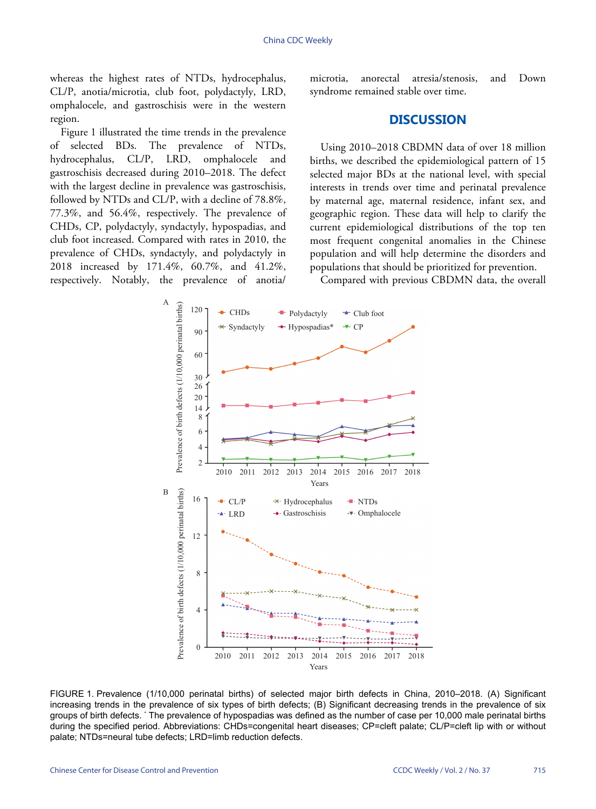whereas the highest rates of NTDs, hydrocephalus, CL/P, anotia/microtia, club foot, polydactyly, LRD, omphalocele, and gastroschisis were in the western region.

Figure 1 illustrated the time trends in the prevalence of selected BDs. The prevalence of NTDs, hydrocephalus, CL/P, LRD, omphalocele and gastroschisis decreased during 2010–2018. The defect with the largest decline in prevalence was gastroschisis, followed by NTDs and CL/P, with a decline of 78.8%, 77.3%, and 56.4%, respectively. The prevalence of CHDs, CP, polydactyly, syndactyly, hypospadias, and club foot increased. Compared with rates in 2010, the prevalence of CHDs, syndactyly, and polydactyly in 2018 increased by 171.4%, 60.7%, and 41.2%, respectively. Notably, the prevalence of anotia/

microtia, anorectal atresia/stenosis, and Down syndrome remained stable over time.

## **DISCUSSION**

Using 2010–2018 CBDMN data of over 18 million births, we described the epidemiological pattern of 15 selected major BDs at the national level, with special interests in trends over time and perinatal prevalence by maternal age, maternal residence, infant sex, and geographic region. These data will help to clarify the current epidemiological distributions of the top ten most frequent congenital anomalies in the Chinese population and will help determine the disorders and populations that should be prioritized for prevention.

Compared with previous CBDMN data, the overall



FIGURE 1. Prevalence (1/10,000 perinatal births) of selected major birth defects in China, 2010–2018. (A) Significant increasing trends in the prevalence of six types of birth defects; (B) Significant decreasing trends in the prevalence of six groups of birth defects. \* The prevalence of hypospadias was defined as the number of case per 10,000 male perinatal births during the specified period. Abbreviations: CHDs=congenital heart diseases; CP=cleft palate; CL/P=cleft lip with or without palate; NTDs=neural tube defects; LRD=limb reduction defects.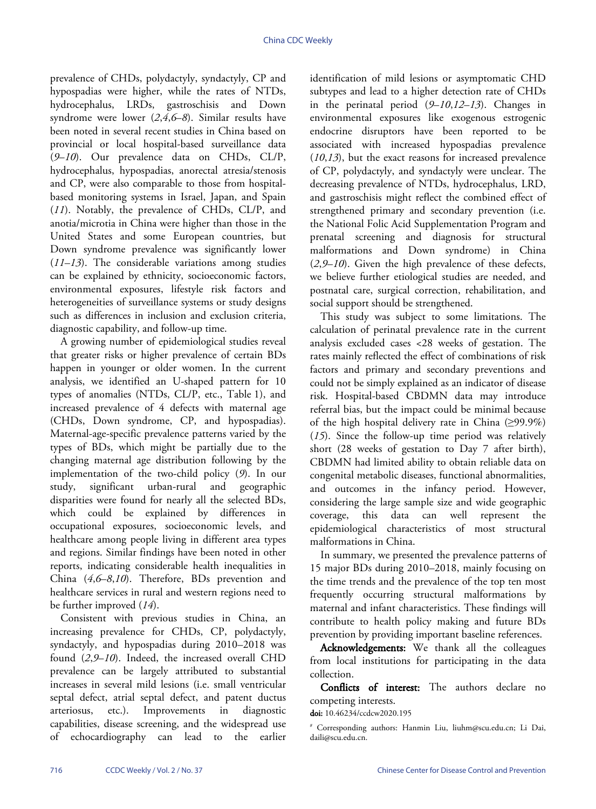prevalence of CHDs, polydactyly, syndactyly, CP and hypospadias were higher, while the rates of NTDs, hydrocephalus, LRDs, gastroschisis and Down syndrome were lower (*[2](#page-6-1)*,*[4](#page-6-3)*,*[6](#page-6-5)*–*[8](#page-6-6)*). Similar results have been noted in several recent studies in China based on provincial or local hospital-based surveillance data (*[9](#page-6-7)*–*[10](#page-6-8)*). Our prevalence data on CHDs, CL/P, hydrocephalus, hypospadias, anorectal atresia/stenosis and CP, were also comparable to those from hospitalbased monitoring systems in Israel, Japan, and Spain (*[11](#page-6-9)*). Notably, the prevalence of CHDs, CL/P, and anotia/microtia in China were higher than those in the United States and some European countries, but Down syndrome prevalence was significantly lower (*[11](#page-6-9)*–*[13](#page-6-10)*). The considerable variations among studies can be explained by ethnicity, socioeconomic factors, environmental exposures, lifestyle risk factors and heterogeneities of surveillance systems or study designs such as differences in inclusion and exclusion criteria, diagnostic capability, and follow-up time.

A growing number of epidemiological studies reveal that greater risks or higher prevalence of certain BDs happen in younger or older women. In the current analysis, we identified an U-shaped pattern for 10 types of anomalies (NTDs, CL/P, etc., Table 1), and increased prevalence of 4 defects with maternal age (CHDs, Down syndrome, CP, and hypospadias). Maternal-age-specific prevalence patterns varied by the types of BDs, which might be partially due to the changing maternal age distribution following by the implementation of the two-child policy (*[9](#page-6-7)*). In our study, significant urban-rural and geographic disparities were found for nearly all the selected BDs, which could be explained by differences in occupational exposures, socioeconomic levels, and healthcare among people living in different area types and regions. Similar findings have been noted in other reports, indicating considerable health inequalities in China (*[4](#page-6-3)*,*[6](#page-6-5)*–*[8](#page-6-6)*,*[10](#page-6-8)*). Therefore, BDs prevention and healthcare services in rural and western regions need to be further improved (*[14](#page-6-11)*).

Consistent with previous studies in China, an increasing prevalence for CHDs, CP, polydactyly, syndactyly, and hypospadias during 2010–2018 was found (*[2](#page-6-1)*,*[9](#page-6-7)*–*[10](#page-6-8)*). Indeed, the increased overall CHD prevalence can be largely attributed to substantial increases in several mild lesions (i.e. small ventricular septal defect, atrial septal defect, and patent ductus arteriosus, etc.). Improvements in diagnostic capabilities, disease screening, and the widespread use of echocardiography can lead to the earlier

identification of mild lesions or asymptomatic CHD subtypes and lead to a higher detection rate of CHDs in the perinatal period (*[9](#page-6-7)*–*[10](#page-6-8)*,*[12](#page-6-12)*–*[13](#page-6-10)*). Changes in environmental exposures like exogenous estrogenic endocrine disruptors have been reported to be associated with increased hypospadias prevalence (*[10](#page-6-8)*,*[13](#page-6-10)*), but the exact reasons for increased prevalence of CP, polydactyly, and syndactyly were unclear. The decreasing prevalence of NTDs, hydrocephalus, LRD, and gastroschisis might reflect the combined effect of strengthened primary and secondary prevention (i.e. the National Folic Acid Supplementation Program and prenatal screening and diagnosis for structural malformations and Down syndrome) in China (*[2](#page-6-1)*,*[9](#page-6-7)*–*[10](#page-6-8)*). Given the high prevalence of these defects, we believe further etiological studies are needed, and postnatal care, surgical correction, rehabilitation, and social support should be strengthened.

This study was subject to some limitations. The calculation of perinatal prevalence rate in the current analysis excluded cases <28 weeks of gestation. The rates mainly reflected the effect of combinations of risk factors and primary and secondary preventions and could not be simply explained as an indicator of disease risk. Hospital-based CBDMN data may introduce referral bias, but the impact could be minimal because of the high hospital delivery rate in China  $(≥99.9%)$ (*[15](#page-6-13)*). Since the follow-up time period was relatively short (28 weeks of gestation to Day 7 after birth), CBDMN had limited ability to obtain reliable data on congenital metabolic diseases, functional abnormalities, and outcomes in the infancy period. However, considering the large sample size and wide geographic coverage, this data can well represent the epidemiological characteristics of most structural malformations in China.

In summary, we presented the prevalence patterns of 15 major BDs during 2010–2018, mainly focusing on the time trends and the prevalence of the top ten most frequently occurring structural malformations by maternal and infant characteristics. These findings will contribute to health policy making and future BDs prevention by providing important baseline references.

Acknowledgements: We thank all the colleagues from local institutions for participating in the data collection.

Conflicts of interest: The authors declare no co[mpeting interests.](https://doi.org/10.46234/ccdcw2020.195)

doi: [10.46234/ccdcw2020.195](https://doi.org/10.46234/ccdcw2020.195)

<sup>#</sup> Corresponding authors: Hanmin Liu, liuhm@scu.edu.cn; Li Dai, daili@scu.edu.cn.